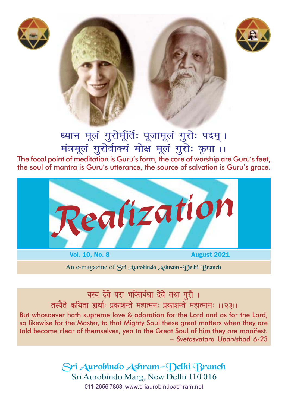





# ध्यान मूलं गुरोर्मूर्तिः पूजामूलं गुरोः पदम् । मंत्रमूलं गुरोर्वाक्यं मोक्ष मूलं गुरोः कृपा ।।

The focal point of meditation is Guru's form, the core of worship are Guru's feet, the soul of mantra is Guru's utterance, the source of salvation is Guru's grace.



An e-magazine of Sri Aurobindo Ashram-Delhi Branch

यस्य देवे परा भक्तिर्यथा देवे तथा गुरौ । तस्यैते कथिता ह्यर्थाः प्रकाशन्ते महात्मनः प्रकाशन्ते महात्मानः ।।२३।। But whosoever hath supreme love & adoration for the Lord and as for the Lord, so likewise for the Master, to that Mighty Soul these great matters when they are told become clear of themselves, yea to the Great Soul of him they are manifest. – *Svetasvatara Upanishad 6-23*

> Sri Aurobindo Ashram-Delhi Branch Sri Aurobindo Marg, New Delhi 110 016

011-2656 7863; www.sriaurobindoashram.net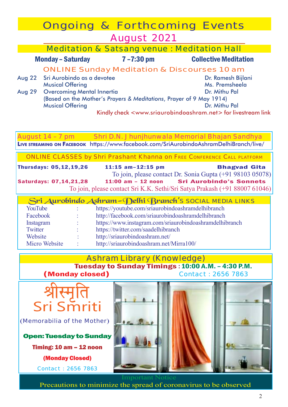# Ongoing & Forthcoming Events August 2021 **Meditation & Satsang venue: Meditation Hall** Monday – Saturday 7 –7:30 pm Collective Meditation ONLINE Sunday Meditation & Discourses 10 am Aug 22 Sri Aurobindo as a devotee Dr. Ramesh Bijlani Musical Offering Musical Offering Musical Development of Musical American Musical Offering Musical American Musical American Musical American Musical American Musical American Musical American Musical American Musical Amer Aug 29 Overcoming Mental Innertia **Dr. Mithu Pal** (Based on the Mother's *Prayers & Meditations*, Prayer of 9 May 1914) Musical Offering No. 2008. The U.S. Contract of the U.S. Contract of the U.S. Airhu Pall Kindly check <www.sriaurobindoashram.net> for livestream link

August 14 – 7 pm Shri D.N. Jhunjhunwala Memorial *Bhajan Sandhya* **LIVE STREAMING ON FACEBOOK** https://www.facebook.com/SriAurobindoAshramDelhiBranch/live/

ONLINE CLASSES by Shri Prashant Khanna on FREE CONFERENCE CALL PLATFORM

| <b>Thursdays: 05,12,19,26</b> | $11:15$ am-12:15 pm   | <b>Bhagvad Gita</b>                                                        |
|-------------------------------|-----------------------|----------------------------------------------------------------------------|
|                               |                       | To join, please contact Dr. Sonia Gupta (+91 98103 05078)                  |
| <b>Saturdays: 07,14,21,28</b> | $11:00$ am $-12$ noon | <b>Sri Aurobindo's Sonnets</b>                                             |
|                               |                       | To join, please contact Sri K.K. Sethi/Sri Satya Prakash (+91 88007 61046) |

|               |               | Sri Aurobindo Ashram-Delhi Branch's SOCIAL MEDIA LINKS  |
|---------------|---------------|---------------------------------------------------------|
| YouTube       |               | https://youtube.com/sriaurobindoashramdelhibranch       |
| Facebook      |               | http://facebook.com/sriaurobindoashramdelhibranch       |
| Instagram     |               | https://www.instagram.com/sriaurobindoashramdelhibranch |
| Twitter       |               | https://twitter.com/saadelhibranch                      |
| Website       |               | http://sriaurobindoashram.net/                          |
| Micro Website | $\mathcal{L}$ | http://sriaurobindoashram.net/Mirra100/                 |

## Ashram Library (Knowledge) Tuesday to Sunday Timings : 10:00 A.M. – 4:30 P.M.





Important Notice

Precautions to minimize the spread of coronavirus to be observed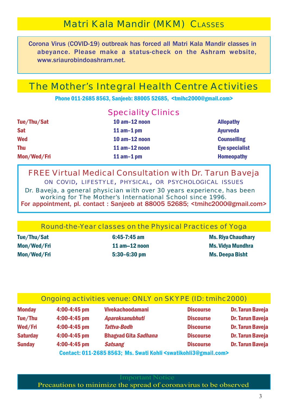Corona Virus (COVID-19) outbreak has forced all Matri Kala Mandir classes in abeyance. Please make a status-check on the Ashram website, www.sriaurobindoashram.net.

# The Mother's Integral Health Centre Activities

Phone 011-2685 8563, Sanjeeb: 88005 52685, <tmihc2000@gmail.com>

Spociality Clinics

| <b>OPECIQIILY UNITIUS</b> |               |                       |  |  |  |
|---------------------------|---------------|-----------------------|--|--|--|
| Tue/Thu/Sat               | 10 am-12 noon | <b>Allopathy</b>      |  |  |  |
| <b>Sat</b>                | 11 am $-1$ pm | <b>Ayurveda</b>       |  |  |  |
| <b>Wed</b>                | 10 am-12 noon | <b>Counselling</b>    |  |  |  |
| <b>Thu</b>                | 11 am-12 noon | <b>Eye specialist</b> |  |  |  |
| Mon/Wed/Fri               | $11$ am-1 pm  | <b>Homeopathy</b>     |  |  |  |

FREE Virtual Medical Consultation with Dr. Tarun Baveja ON COVID, LIFESTYLE, PHYSICAL, OR PSYCHOLOGICAL ISSUES

Dr. Baveja, a general physician with over 30 years experience, has been working for The Mother's International School since 1996. For appointment, pl. contact : Sanjeeb at 88005 52685; <tmihc2000@gmail.com>

#### Round-the-Year classes on the Physical Practices of Yoga

Tue/Thu/Sat 6:45-7:45 am music control Ms. Riva Chaudhary Mon/Wed/Fri 11 am–12 noon Ms. Vidya Mundhra Mon/Wed/Fri 5:30–6:30 pm Ms. Deepa Bisht

| Ongoing activities venue: ONLY on SKYPE (ID: tmihc2000) |                                                                                         |                             |                  |                         |  |
|---------------------------------------------------------|-----------------------------------------------------------------------------------------|-----------------------------|------------------|-------------------------|--|
| <b>Monday</b>                                           | 4:00-4:45 pm                                                                            | <b>Vivekachoodamani</b>     | <b>Discourse</b> | <b>Dr. Tarun Baveja</b> |  |
| Tue/Thu                                                 | 4:00-4:45 pm                                                                            | <b>Aparoksanubhuti</b>      | <b>Discourse</b> | <b>Dr. Tarun Baveja</b> |  |
| Wed/Fri                                                 | $4:00 - 4:45$ pm                                                                        | <b>Tattva-Bodh</b>          | <b>Discourse</b> | <b>Dr. Tarun Baveja</b> |  |
| <b>Saturday</b>                                         | 4:00-4:45 pm                                                                            | <b>Bhagvad Gita Sadhana</b> | <b>Discourse</b> | <b>Dr. Tarun Baveja</b> |  |
| <b>Sunday</b>                                           | $4:00 - 4:45$ pm                                                                        | <b>Satsang</b>              | <b>Discourse</b> | <b>Dr. Tarun Baveja</b> |  |
|                                                         | Contact: 011-2685 8563; Ms. Swati Kohli <swatikohli3@gmail.com></swatikohli3@gmail.com> |                             |                  |                         |  |

# Important Notice

Precautions to minimize the spread of coronavirus to be observed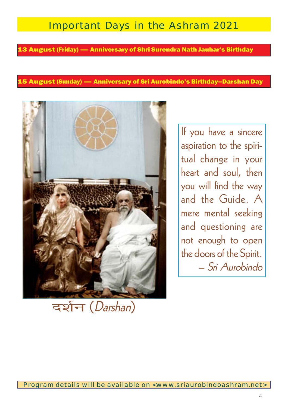# Important Days in the Ashram 2021

13 August (Friday)– Anniversary of Shri Surendra Nath Jauhar's Birthday

#### 15 August(Sunday)–Anniversary of Sri Aurobindo's Birthday–Darshan Day



दर्शन (Darshan)

If you have a sincere aspiration to the spiritual change in your heart and soul, then you will find the way and the Guide. A mere mental seeking and questioning are not enough to open the doors of the Spirit. – Sri Aurobindo

Program details will be available on <www.sriaurobindoashram.net>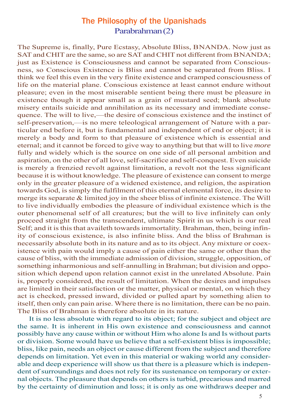# The Philosophy of the Upanishads Parabrahman (2)

The Supreme is, finally, Pure Ecstasy, Absolute Bliss, BNANDA. Now just as SAT and CHIT are the same, so are SAT and CHIT not different from BNANDA; just as Existence is Consciousness and cannot be separated from Consciousness, so Conscious Existence is Bliss and cannot be separated from Bliss. I think we feel this even in the very finite existence and cramped consciousness of life on the material plane. Conscious existence at least cannot endure without pleasure; even in the most miserable sentient being there must be pleasure in existence though it appear small as a grain of mustard seed; blank absolute misery entails suicide and annihilation as its necessary and immediate consequence. The will to live,—the desire of conscious existence and the instinct of self-preservation,—is no mere teleological arrangement of Nature with a particular end before it, but is fundamental and independent of end or object; it is merely a body and form to that pleasure of existence which is essential and eternal; and it cannot be forced to give way to anything but that will to live *more* fully and widely which is the source on one side of all personal ambition and aspiration, on the other of all love, self-sacrifice and self-conquest. Even suicide is merely a frenzied revolt against limitation, a revolt not the less significant because it is without knowledge. The pleasure of existence can consent to merge only in the greater pleasure of a widened existence, and religion, the aspiration towards God, is simply the fulfilment of this eternal elemental force, its desire to merge its separate & limited joy in the sheer bliss of infinite existence. The Will to live individually embodies the pleasure of individual existence which is the outer phenomenal self of all creatures; but the will to live infinitely can only proceed straight from the transcendent, ultimate Spirit in us which is our real Self; and it is this that availeth towards immortality. Brahman, then, being infinity of conscious existence, is also infinite bliss. And the bliss of Brahman is necessarily absolute both in its nature and as to its object. Any mixture or coexistence with pain would imply a cause of pain either the same or other than the cause of bliss, with the immediate admission of division, struggle, opposition, of something inharmonious and self-annulling in Brahman; but division and opposition which depend upon relation cannot exist in the unrelated Absolute. Pain is, properly considered, the result of limitation. When the desires and impulses are limited in their satisfaction or the matter, physical or mental, on which they act is checked, pressed inward, divided or pulled apart by something alien to itself, then only can pain arise. Where there is no limitation, there can be no pain. The Bliss of Brahman is therefore absolute in its nature.

It is no less absolute with regard to its object; for the subject and object are the same. It is inherent in His own existence and consciousness and cannot possibly have any cause within or without Him who alone Is and Is without parts or division. Some would have us believe that a self-existent bliss is impossible; bliss, like pain, needs an object or cause different from the subject and therefore depends on limitation. Yet even in this material or waking world any considerable and deep experience will show us that there is a pleasure which is independent of surroundings and does not rely for its sustenance on temporary or external objects. The pleasure that depends on others is turbid, precarious and marred by the certainty of diminution and loss; it is only as one withdraws deeper and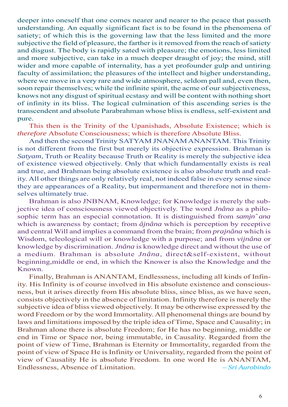deeper into oneself that one comes nearer and nearer to the peace that passeth understanding. An equally significant fact is to be found in the phenomena of satiety; of which this is the governing law that the less limited and the more subjective the field of pleasure, the farther is it removed from the reach of satiety and disgust. The body is rapidly sated with pleasure; the emotions, less limited and more subjective, can take in a much deeper draught of joy; the mind, still wider and more capable of internality, has a yet profounder gulp and untiring faculty of assimilation; the pleasures of the intellect and higher understanding, where we move in a very rare and wide atmosphere, seldom pall and, even then, soon repair themselves; while the infinite spirit, the acme of our subjectiveness, knows not any disgust of spiritual ecstasy and will be content with nothing short of infinity in its bliss. The logical culmination of this ascending series is the transcendent and absolute Parabrahman whose bliss is endless, self-existent and pure.

This then is the Trinity of the Upanishads, Absolute Existence; which is *therefore* Absolute Consciousness; which is therefore Absolute Bliss.

And then the second Trinity SATYAM JNANAM ANANTAM. This Trinity is not different from the first but merely its objective expression. Brahman is *Satyam*, Truth or Reality because Truth or Reality is merely the subjective idea of existence viewed objectively. Only that which fundamentally exists is real and true, and Brahman being absolute existence is also absolute truth and reality. All other things are only relatively real, not indeed false in every sense since they are appearances of a Reality, but impermanent and therefore not in themselves ultimately true.

Brahman is also JNBNAM, Knowledge; for Knowledge is merely the subjective idea of consciousness viewed objectively. The word *Jnâna* as a philosophic term has an especial connotation. It is distinguished from *samjnˆana* which is awareness by contact; from  $\hat{a}$ *jnâna* which is perception by receptive and central Will and implies a command from the brain; from *prajnâna* which is Wisdom, teleological will or knowledge with a purpose; and from *vijnâna* or knowledge by discrimination. *Jnâna* is knowledge direct and without the use of a medium. Brahman is absolute *Jnâna*, direct&self-existent, without beginning,middle or end, in which the Knower is also the Knowledge and the Known.

Finally, Brahman is ANANTAM, Endlessness, including all kinds of Infinity. His Infinity is of course involved in His absolute existence and consciousness, but it arises directly from His absolute bliss, since bliss, as we have seen, consists objectively in the absence of limitation. Infinity therefore is merely the subjective idea of bliss viewed objectively. It may be otherwise expressed by the word Freedom or by the word Immortality. All phenomenal things are bound by laws and limitations imposed by the triple idea of Time, Space and Causality; in Brahman alone there is absolute Freedom; for He has no beginning, middle or end in Time or Space nor, being immutable, in Causality. Regarded from the point of view of Time, Brahman is Eternity or Immortality, regarded from the point of view of Space He is Infinity or Universality, regarded from the point of view of Causality He is absolute Freedom. In one word He is ANANTAM, Endlessness, Absence of Limitation. *– Sri Aurobindo*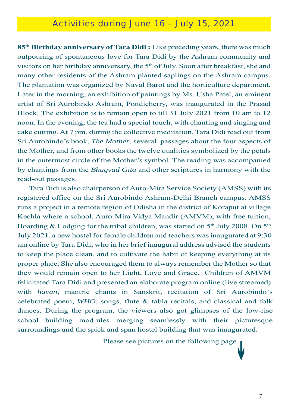# Activities during June 16 – July 15, 2021

85<sup>th</sup> Birthday anniversary of Tara Didi : Like preceding years, there was much outpouring of spontaneous love for Tara Didi by the Ashram community and visitors on her birthday anniversary, the 5<sup>th</sup> of July. Soon after breakfast, she and many other residents of the Ashram planted saplings on the Ashram campus. The plantation was organized by Naval Barot and the horticulture department. Later in the morning, an exhibition of paintings by Ms. Usha Patel, an eminent artist of Sri Aurobindo Ashram, Pondicherry, was inaugurated in the Prasad Block. The exhibition is to remain open to till 31 July 2021 from 10 am to 12 noon. In the evening, the tea had a special touch, with chanting and singing and cake cutting. At 7 pm, during the collective meditation, Tara Didi read out from Sri Aurobindo's book, *The Mother*, several passages about the four aspects of the Mother, and from other books the twelve qualities symbolized by the petals in the outermost circle of the Mother's symbol. The reading was accompanied by chantings from the *Bhagvad Gita* and other scriptures in harmony with the read-out passages.

Tara Didi is also chairperson of Auro-Mira Service Society (AMSS) with its registered office on the Sri Aurobindo Ashram-Delhi Branch campus. AMSS runs a project in a remote region of Odisha in the district of Koraput at village Kechla where a school, Auro-Mira Vidya Mandir (AMVM), with free tuition, Boarding & Lodging for the tribal children, was started on  $5<sup>th</sup>$  July 2008. On  $5<sup>th</sup>$ July 2021, a new hostel for female children and teachers was inaugurated at 9:30 am online by Tara Didi, who in her brief inaugural address advised the students to keep the place clean, and to cultivate the habit of keeping everything at its proper place. She also encouraged them to always remember the Mother so that they would remain open to her Light, Love and Grace. Children of AMVM felicitated Tara Didi and presented an elaborate program online (live streamed) with *havan*, mantric chants in Sanskrit, recitation of Sri Aurobindo's celebrated poem, *WHO*, songs, flute & tabla recitals, and classical and folk dances. During the program, the viewers also got glimpses of the low-rise school building mod-ules merging seamlessly with their picturesque surroundings and the spick and span hostel building that was inaugurated.

> Please see pictures on the following page  $\bigvee$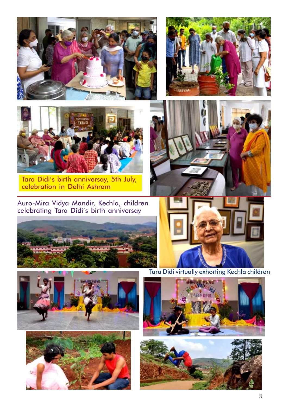





Tara Didi's birth anniversay, 5th July, celebration in Delhi Ashram

Auro-Mira Vidya Mandir, Kechla, children celebrating Tara Didi's birth anniversay











Tara Didi virtually exhorting Kechla children



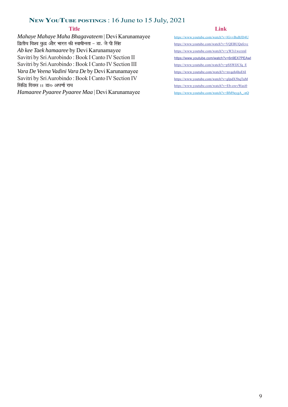### **NEW YOUTUBE POSTINGS** : 16 June to 15 July, 2021

#### **Title** Link

*Mahaye Mahaye Maha Bhagavateem* | Devi Karunamayee https://www.youtube.com/watch?v=lGvvBuBJD4U f दितीय विश्व युद्ध और भारत की स्वाधीनता - डा. जे पी सिंह which we https://www.youtube.com/watch?v=VQEBUQafcvc *Ab kee Taek hamaaree* by Devi Karunamayee https://www.youtube.com/watch?v=yW3i1wcrznI Savitri by Sri Aurobindo : Book I Canto IV Section II https://www.youtube.com/watch?v=6n9EX7PEAwI Savitri by Sri Aurobindo : Book I Canto IV Section III https://www.youtube.com/watch?v=pSSWIJCfq\_E *Vara De Veena Vadini Vara De* by Devi Karunamayee https://www.youtube.com/watch?v=nvqeh4hsE6I Savitri by Sri Aurobindo : Book I Canto IV Section IV https://www.youtube.com/watch?v=gIpdX5bqTuM सिद्धि दिवस । डा० अपर्णा राय सामान स्वास्थ्य स्वास्थ्य स्वास्थ्य स्वास्थ्य स्थान स्वास्थ्य स्वास्थ्य स्वास्थ्य स्वास्थ्य स्वास्थ्य स्वास्थ्य स्वास्थ्य स्वास्थ्य स्वास्थ्य स्वास्थ्य स्वास्थ्य स्वास्थ्य स्वास्थ्य स्वास्थ्य *Hamaaree Pyaaree Pyaaree Maa* | Devi Karunamayee https://www.youtube.com/watch?v=BM9aygA\_-nQ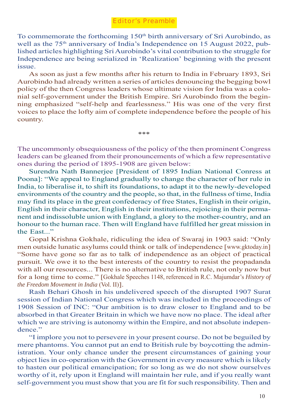To commemorate the forthcoming  $150<sup>th</sup>$  birth anniversary of Sri Aurobindo, as well as the 75<sup>th</sup> anniversary of India's Independence on 15 August 2022, published articles highlighting Sri Aurobindo's vital contribution to the struggle for Independence are being serialized in 'Realization' beginning with the present issue.

As soon as just a few months after his return to India in February 1893, Sri Aurobindo had already written a series of articles denouncing the begging bowl policy of the then Congress leaders whose ultimate vision for India was a colonial self-government under the British Empire. Sri Aurobindo from the beginning emphasized "self-help and fearlessness." His was one of the very first voices to place the lofty aim of complete independence before the people of his country.

The uncommonly obsequiousness of the policy of the then prominent Congress leaders can be gleaned from their pronouncements of which a few representative ones during the period of 1895-1908 are given below:

\*\*\*

Surendra Nath Bannerjee [President of 1895 Indian National Conress at Poona]: "We appeal to England gradually to change the character of her rule in India, to liberalise it, to shift its foundations, to adapt it to the newly-developed environments of the country and the people, so that, in the fullness of time, India may find its place in the great confederacy of free States, English in their origin, English in their character, English in their institutions, rejoicing in their permanent and indissoluble union with England, a glory to the mother-country, and an honour to the human race. Then will England have fulfilled her great mission in the East..."

Gopal Krishna Gokhale, ridiculing the idea of Swaraj in 1903 said: "Only men outside lunatic asylums could think or talk of independence [www.gktoday.in] "Some have gone so far as to talk of independence as an object of practical pursuit. We owe it to the best interests of the country to resist the propadanda with all our resources... There is no alternative to British rule, not only now but for a long time to come." [Gokhale Speeches 1148, referenced in R.C. Majumdar's *History of the Freedom Movement in India* (Vol. II)].

Rash Behari Ghosh in his undelivered speech of the disrupted 1907 Surat session of Indian National Congress which was included in the proceedings of 1908 Session of INC: "Our ambition is to draw closer to England and to be absorbed in that Greater Britain in which we have now no place. The ideal after which we are striving is autonomy within the Empire, and not absolute independence."

"I implore you not to persevere in your present course. Do not be beguiled by mere phantoms. You cannot put an end to British rule by boycotting the administration. Your only chance under the present circumstances of gaining your object lies in co-operation with the Government in every measure which is likely to hasten our political emancipation; for so long as we do not show ourselves worthy of it, rely upon it England will maintain her rule, and if you really want self-government you must show that you are fit for such responsibility. Then and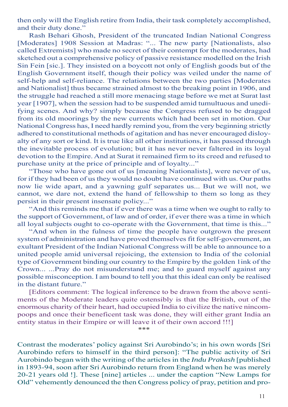then only will the English retire from India, their task completely accomplished, and their duty done."

Rash Behari Ghosh, President of the truncated Indian National Congress [Moderates] 1908 Session at Madras: "... The new party [Nationalists, also called Extremists] who made no secret of their contempt for the moderates, had sketched out a comprehensive policy of passive resistance modelled on the Irish Sin Fein [sic.]. They insisted on a boycott not only of English goods but of the English Government itself, though their policy was veiled under the name of self-help and self-reliance. The relations between the two parties [Moderates and Nationalist] thus became strained almost to the breaking point in 1906, and the struggle had reached a still more menacing stage before we met at Surat last year [1907], when the session had to be suspended amid tumultuous and unedifying scenes. And why? simply because the Congress refused to be dragged from its old moorings by the new currents which had been set in motion. Our National Congress has, I need hardly remind you, from the very beginning strictly adhered to constitutional methods of agitation and has never encouraged disloyalty of any sort or kind. It is true like all other institutions, it has passed through the inevitable process of evolution; but it has never never faltered in its loyal devotion to the Empire. And at Surat it remained firm to its creed and refused to purchase unity at the price of principle and of loyalty..."

"Those who have gone out of us [meaning Nationalists], were never of us, for if they had been of us they would no doubt have continued with us. Our paths now lie wide apart, and a yawning gulf separates us... But we will not, we cannot, we dare not, extend the hand of fellowship to them so long as they persist in their present insensate policy..."

"And this reminds me that if ever there was a time when we ought to rally to the support of Government, of law and of order, if ever there was a time in which all loyal subjects ought to co-operate with the Government, that time is this..."

"And when in the fulness of time the people have outgrown the present system of administration and have proved themselves fit for self-government, an exultant President of the Indian National Congress will be able to announce to a united people amid universal rejoicing, the extension to India of the colonial type of Government binding our country to the Empire by the golden 1ink of the Crown... ...Pray do not misunderstand me; and to guard myself against any possible misconception. I am bound to tell you that this ideal can only be realised in the distant future."

[Editors comment: The logical inference to be drawn from the above sentiments of the Moderate leaders quite ostensibly is that the British, out of the enormous charity of their heart, had occupied India to civilize the native nincompoops and once their beneficent task was done, they will either grant India an entity status in their Empire or will leave it of their own accord !!!]

\*\*\*

Contrast the moderates' policy against Sri Aurobindo's; in his own words [Sri Aurobindo refers to himself in the third person]: "The public activity of Sri Aurobindo began with the writing of the articles in the *Indu Prakash* [published in 1893-94, soon after Sri Aurobindo return from England when he was merely 20-21 years old !]. These [nine] articles ... under the caption "New Lamps for Old" vehemently denounced the then Congress policy of pray, petition and pro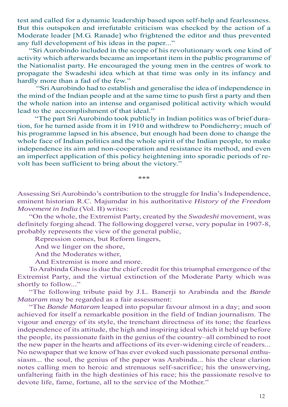test and called for a dynamic leadership based upon self-help and fearlessness. But this outspoken and irrefutable criticism was checked by the action of a Moderate leader [M.G. Ranade] who frightened the editor and thus prevented any full development of his ideas in the paper..."

"Sri Aurobindo included in the scope of his revolutionary work one kind of activity which afterwards became an important item in the public programme of the Nationalist party. He encouraged the young men in the centres of work to propagate the Swadeshi idea which at that time was only in its infancy and hardly more than a fad of the few."

 "Sri Aurobindo had to establish and generalise the idea of independence in the mind of the Indian people and at the same time to push first a party and then the whole nation into an intense and organised political activity which would lead to the accomplishment of that ideal."

"The part Sri Aurobindo took publicly in Indian politics was of brief duration, for he turned aside from it in 1910 and withdrew to Pondicherry; much of his programme lapsed in his absence, but enough had been done to change the whole face of Indian politics and the whole spirit of the Indian people, to make independence its aim and non-cooperation and resistance its method, and even an imperfect application of this policy heightening into sporadic periods of revolt has been sufficient to bring about the victory."

\*\*\*

Assessing Sri Aurobindo's contribution to the struggle for India's Independence, eminent historian R.C. Majumdar in his authoritative *History of the Freedom Movement in India* (Vol. II) writes:

"On the whole, the Extremist Party, created by the *Swadeshi* movement, was definitely forging ahead. The following doggerel verse, very popular in 1907-8, probably represents the view of the general public,

Repression comes, but Reform lingers,

And we linger on the shore,

And the Moderates wither,

And Extremist is more and more.

To Arabinda Ghose is due the chief credit for this triumphal emergence of the Extremist Party, and the virtual extinction of the Moderate Party which was shortly to follow..."

"The following tribute paid by J.L. Banerji to Arabinda and the *Bande Mataram* may be regarded as a fair assessment:

"The *Bande Mataram* leaped into popular favour almost in a day; and soon achieved for itself a remarkable position in the field of Indian journalism. The vigour and energy of its style, the trenchant directness of its tone; the fearless independence of its attitude, the high and inspiring ideal which it held up before the people, its passionate faith in the genius of the country–all combined to root the new paper in the hearts and affections of its ever-widening circle of readers... No newspaper that we know of has ever evoked such passionate personal enthusiasm... the soul, the genius of the paper was Arabinda... his the clear clarion notes calling men to heroic and strenuous self-sacrifice; his the unswerving, unfaltering faith in the high destinies of his race; his the passionate resolve to devote life, fame, fortune, all to the service of the Mother."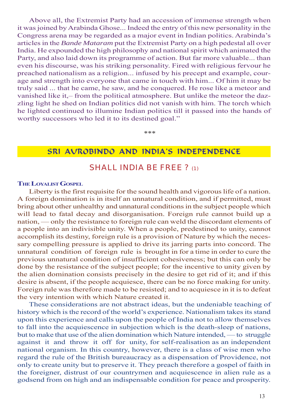Above all, the Extremist Party had an accession of immense strength when it was joined by Arabinda Ghose... Indeed the entry of this new personality in the Congress arena may be regarded as a major event in Indian politics. Arabinda's articles in the *Bande Mataram* put the Extremist Party on a high pedestal all over India. He expounded the high philosophy and national spirit which animated the Party, and also laid down its programme of action. But far more valuable... than even his discourse, was his striking personality. Fired with religious fervour he preached nationalism as a religion... infused by his precept and example, courage and strength into everyone that came in touch with him... Of him it may be truly said ... that he came, he saw, and he conquered. He rose like a meteor and vanished like it,– from the political atmosphere. But unlike the meteor the dazzling light he shed on Indian politics did not vanish with him. The torch which he lighted continued to illumine Indian politics till it passed into the hands of worthy successors who led it to its destined goal."

\*\*\*

## SRI AUROBINDO AND INDIA'S INDEPENDENCE

SHALL INDIA BE FREE ? (1)

#### **THE LOYALIST GOSPEL**

Liberty is the first requisite for the sound health and vigorous life of a nation. A foreign domination is in itself an unnatural condition, and if permitted, must bring about other unhealthy and unnatural conditions in the subject people which will lead to fatal decay and disorganisation. Foreign rule cannot build up a nation, — only the resistance to foreign rule can weld the discordant elements of a people into an indivisible unity. When a people, predestined to unity, cannot accomplish its destiny, foreign rule is a provision of Nature by which the necessary compelling pressure is applied to drive its jarring parts into concord. The unnatural condition of foreign rule is brought in for a time in order to cure the previous unnatural condition of insufficient cohesiveness; but this can only be done by the resistance of the subject people; for the incentive to unity given by the alien domination consists precisely in the desire to get rid of it; and if this desire is absent, if the people acquiesce, there can be no force making for unity. Foreign rule was therefore made to be resisted; and to acquiesce in it is to defeat the very intention with which Nature created it.

These considerations are not abstract ideas, but the undeniable teaching of history which is the record of the world's experience. Nationalism takes its stand upon this experience and calls upon the people of India not to allow themselves to fall into the acquiescence in subjection which is the death-sleep of nations, but to make that use of the alien domination which Nature intended, — to struggle against it and throw it off for unity, for self-realisation as an independent national organism. In this country, however, there is a class of wise men who regard the rule of the British bureaucracy as a dispensation of Providence, not only to create unity but to preserve it. They preach therefore a gospel of faith in the foreigner, distrust of our countrymen and acquiescence in alien rule as a godsend from on high and an indispensable condition for peace and prosperity.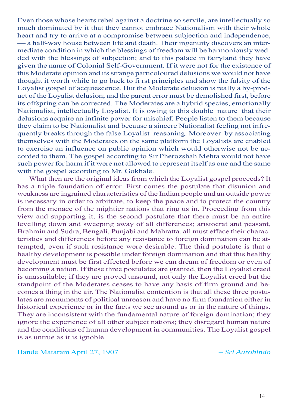Even those whose hearts rebel against a doctrine so servile, are intellectually so much dominated by it that they cannot embrace Nationalism with their whole heart and try to arrive at a compromise between subjection and independence, — a half-way house between life and death. Their ingenuity discovers an intermediate condition in which the blessings of freedom will be harmoniously wedded with the blessings of subjection; and to this palace in fairyland they have given the name of Colonial Self-Government. If it were not for the existence of this Moderate opinion and its strange particoloured delusions we would not have thought it worth while to go back to fi rst principles and show the falsity of the Loyalist gospel of acquiescence. But the Moderate delusion is really a by-product of the Loyalist delusion; and the parent error must be demolished first, before its offspring can be corrected. The Moderates are a hybrid species, emotionally Nationalist, intellectually Loyalist. It is owing to this double nature that their delusions acquire an infinite power for mischief. People listen to them because they claim to be Nationalist and because a sincere Nationalist feeling not infrequently breaks through the false Loyalist reasoning. Moreover by associating themselves with the Moderates on the same platform the Loyalists are enabled to exercise an influence on public opinion which would otherwise not be accorded to them. The gospel according to Sir Pherozshah Mehta would not have such power for harm if it were not allowed to represent itself as one and the same with the gospel according to Mr. Gokhale.

What then are the original ideas from which the Loyalist gospel proceeds? It has a triple foundation of error. First comes the postulate that disunion and weakness are ingrained characteristics of the Indian people and an outside power is necessary in order to arbitrate, to keep the peace and to protect the country from the menace of the mightier nations that ring us in. Proceeding from this view and supporting it, is the second postulate that there must be an entire levelling down and sweeping away of all differences; aristocrat and peasant, Brahmin and Sudra, Bengali, Punjabi and Mahratta, all must efface their characteristics and differences before any resistance to foreign domination can be attempted, even if such resistance were desirable. The third postulate is that a healthy development is possible under foreign domination and that this healthy development must be first effected before we can dream of freedom or even of becoming a nation. If these three postulates are granted, then the Loyalist creed is unassailable; if they are proved unsound, not only the Loyalist creed but the standpoint of the Moderates ceases to have any basis of firm ground and becomes a thing in the air. The Nationalist contention is that all these three postulates are monuments of political unreason and have no firm foundation either in historical experience or in the facts we see around us or in the nature of things. They are inconsistent with the fundamental nature of foreign domination; they ignore the experience of all other subject nations; they disregard human nature and the conditions of human development in communities. The Loyalist gospel is as untrue as it is ignoble.

Bande Mataram April 27, 1907 – *Sri Aurobindo*